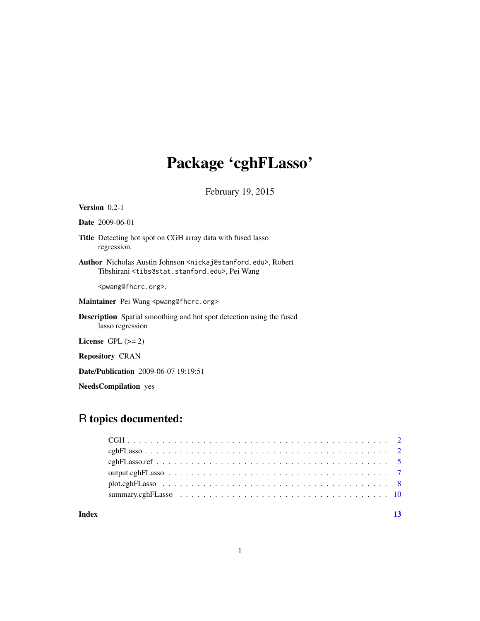# Package 'cghFLasso'

February 19, 2015

## Version 0.2-1

Date 2009-06-01

- Title Detecting hot spot on CGH array data with fused lasso regression.
- Author Nicholas Austin Johnson <nickaj@stanford.edu>, Robert Tibshirani <tibs@stat.stanford.edu>, Pei Wang

<pwang@fhcrc.org>.

Maintainer Pei Wang <pwang@fhcrc.org>

Description Spatial smoothing and hot spot detection using the fused lasso regression

License GPL  $(>= 2)$ 

Repository CRAN

Date/Publication 2009-06-07 19:19:51

NeedsCompilation yes

## R topics documented:

#### **Index** [13](#page-12-0)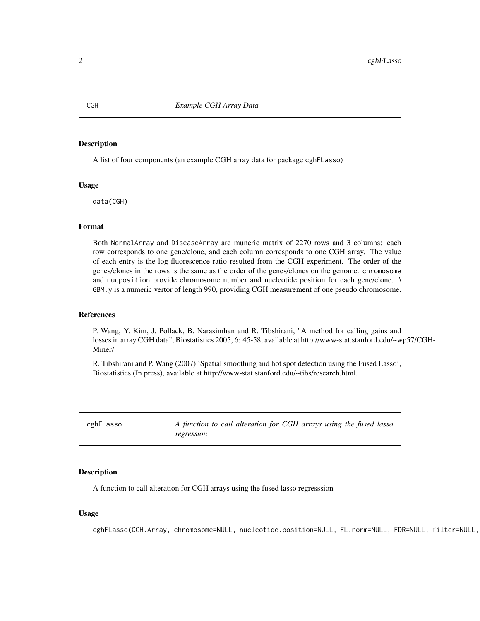#### **Description**

A list of four components (an example CGH array data for package cghFLasso)

#### Usage

data(CGH)

## Format

Both NormalArray and DiseaseArray are muneric matrix of 2270 rows and 3 columns: each row corresponds to one gene/clone, and each column corresponds to one CGH array. The value of each entry is the log fluorescence ratio resulted from the CGH experiment. The order of the genes/clones in the rows is the same as the order of the genes/clones on the genome. chromosome and nucposition provide chromosome number and nucleotide position for each gene/clone. \ GBM.y is a numeric vertor of length 990, providing CGH measurement of one pseudo chromosome.

#### References

P. Wang, Y. Kim, J. Pollack, B. Narasimhan and R. Tibshirani, "A method for calling gains and losses in array CGH data", Biostatistics 2005, 6: 45-58, available at http://www-stat.stanford.edu/~wp57/CGH-Miner/

R. Tibshirani and P. Wang (2007) 'Spatial smoothing and hot spot detection using the Fused Lasso', Biostatistics (In press), available at http://www-stat.stanford.edu/~tibs/research.html.

cghFLasso *A function to call alteration for CGH arrays using the fused lasso regression*

#### Description

A function to call alteration for CGH arrays using the fused lasso regresssion

#### Usage

cghFLasso(CGH.Array, chromosome=NULL, nucleotide.position=NULL, FL.norm=NULL, FDR=NULL, filter=NULL,

<span id="page-1-0"></span>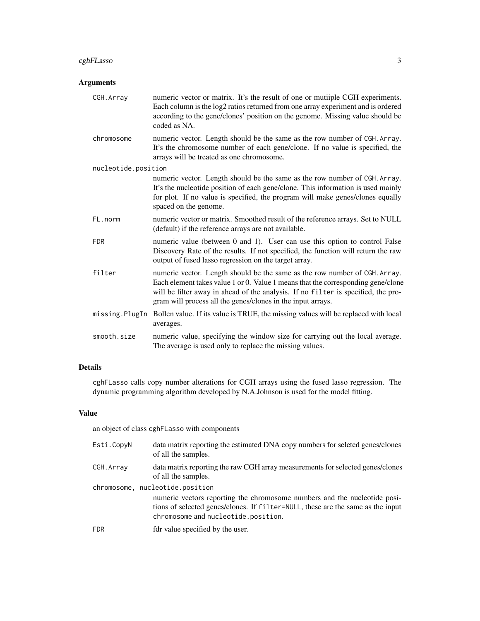## cghFLasso 3

## Arguments

| CGH. Array          | numeric vector or matrix. It's the result of one or mutiiple CGH experiments.<br>Each column is the log2 ratios returned from one array experiment and is ordered<br>according to the gene/clones' position on the genome. Missing value should be<br>coded as NA.                                                 |
|---------------------|--------------------------------------------------------------------------------------------------------------------------------------------------------------------------------------------------------------------------------------------------------------------------------------------------------------------|
| chromosome          | numeric vector. Length should be the same as the row number of CGH. Array.<br>It's the chromosome number of each gene/clone. If no value is specified, the<br>arrays will be treated as one chromosome.                                                                                                            |
| nucleotide.position |                                                                                                                                                                                                                                                                                                                    |
|                     | numeric vector. Length should be the same as the row number of CGH. Array.<br>It's the nucleotide position of each gene/clone. This information is used mainly<br>for plot. If no value is specified, the program will make genes/clones equally<br>spaced on the genome.                                          |
| FL.norm             | numeric vector or matrix. Smoothed result of the reference arrays. Set to NULL<br>(default) if the reference arrays are not available.                                                                                                                                                                             |
| <b>FDR</b>          | numeric value (between 0 and 1). User can use this option to control False<br>Discovery Rate of the results. If not specified, the function will return the raw<br>output of fused lasso regression on the target array.                                                                                           |
| filter              | numeric vector. Length should be the same as the row number of CGH. Array.<br>Each element takes value 1 or 0. Value 1 means that the corresponding gene/clone<br>will be filter away in ahead of the analysis. If no filter is specified, the pro-<br>gram will process all the genes/clones in the input arrays. |
|                     | missing. PlugIn Bollen value. If its value is TRUE, the missing values will be replaced with local<br>averages.                                                                                                                                                                                                    |
| smooth.size         | numeric value, specifying the window size for carrying out the local average.<br>The average is used only to replace the missing values.                                                                                                                                                                           |

## Details

cghFLasso calls copy number alterations for CGH arrays using the fused lasso regression. The dynamic programming algorithm developed by N.A.Johnson is used for the model fitting.

## Value

an object of class cghFLasso with components

| Esti.CopyN | data matrix reporting the estimated DNA copy numbers for seleted genes/clones<br>of all the samples.                                                                                                                                   |
|------------|----------------------------------------------------------------------------------------------------------------------------------------------------------------------------------------------------------------------------------------|
| CGH. Array | data matrix reporting the raw CGH array measurements for selected genes/clones<br>of all the samples.                                                                                                                                  |
|            | chromosome, nucleotide.position<br>numeric vectors reporting the chromosome numbers and the nucleotide posi-<br>tions of selected genes/clones. If filter=NULL, these are the same as the input<br>chromosome and nucleotide.position. |
| <b>FDR</b> | fdr value specified by the user.                                                                                                                                                                                                       |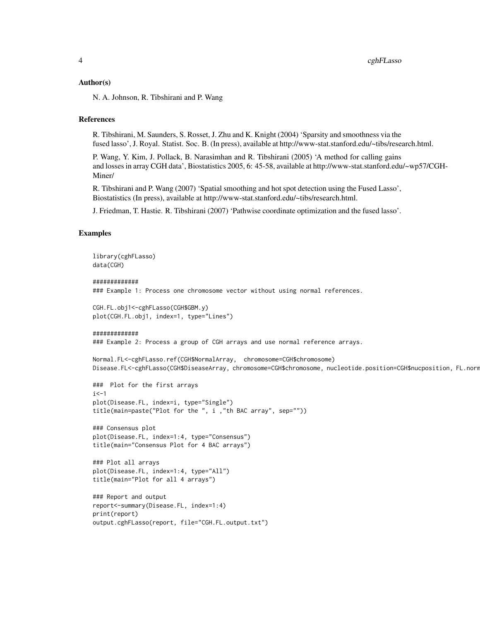#### Author(s)

N. A. Johnson, R. Tibshirani and P. Wang

#### References

R. Tibshirani, M. Saunders, S. Rosset, J. Zhu and K. Knight (2004) 'Sparsity and smoothness via the fused lasso', J. Royal. Statist. Soc. B. (In press), available at http://www-stat.stanford.edu/~tibs/research.html.

P. Wang, Y. Kim, J. Pollack, B. Narasimhan and R. Tibshirani (2005) 'A method for calling gains and losses in array CGH data', Biostatistics 2005, 6: 45-58, available at http://www-stat.stanford.edu/~wp57/CGH-Miner/

R. Tibshirani and P. Wang (2007) 'Spatial smoothing and hot spot detection using the Fused Lasso', Biostatistics (In press), available at http://www-stat.stanford.edu/~tibs/research.html.

J. Friedman, T. Hastie. R. Tibshirani (2007) 'Pathwise coordinate optimization and the fused lasso'.

### Examples

```
library(cghFLasso)
data(CGH)
```

```
#############
```
### Example 1: Process one chromosome vector without using normal references.

```
CGH.FL.obj1<-cghFLasso(CGH$GBM.y)
plot(CGH.FL.obj1, index=1, type="Lines")
```

```
#############
```
### Example 2: Process a group of CGH arrays and use normal reference arrays.

```
Normal.FL<-cghFLasso.ref(CGH$NormalArray, chromosome=CGH$chromosome)
Disease.FL<-cghFLasso(CGH$DiseaseArray, chromosome=CGH$chromosome, nucleotide.position=CGH$nucposition, FL.norm
```

```
### Plot for the first arrays
i < -1plot(Disease.FL, index=i, type="Single")
title(main=paste("Plot for the ", i ,"th BAC array", sep=""))
```

```
### Consensus plot
plot(Disease.FL, index=1:4, type="Consensus")
title(main="Consensus Plot for 4 BAC arrays")
```

```
### Plot all arrays
plot(Disease.FL, index=1:4, type="All")
title(main="Plot for all 4 arrays")
```

```
### Report and output
report<-summary(Disease.FL, index=1:4)
print(report)
output.cghFLasso(report, file="CGH.FL.output.txt")
```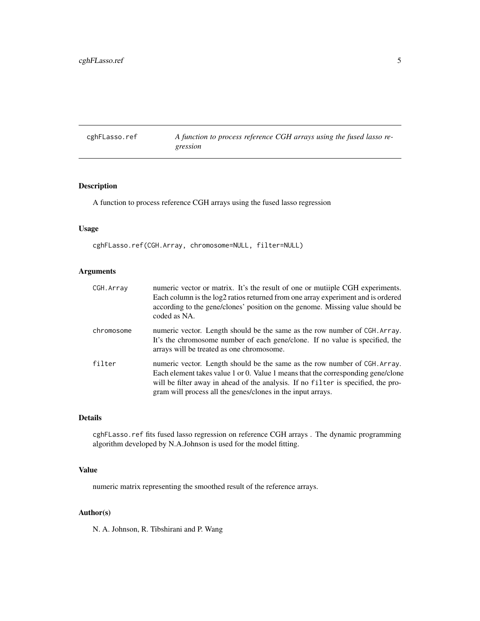<span id="page-4-0"></span>cghFLasso.ref *A function to process reference CGH arrays using the fused lasso regression*

## Description

A function to process reference CGH arrays using the fused lasso regression

## Usage

cghFLasso.ref(CGH.Array, chromosome=NULL, filter=NULL)

## Arguments

| CGH.Array  | numeric vector or matrix. It's the result of one or mutiiple CGH experiments.<br>Each column is the log2 ratios returned from one array experiment and is ordered<br>according to the gene/clones' position on the genome. Missing value should be<br>coded as NA.                                                 |
|------------|--------------------------------------------------------------------------------------------------------------------------------------------------------------------------------------------------------------------------------------------------------------------------------------------------------------------|
| chromosome | numeric vector. Length should be the same as the row number of CGH. Array.<br>It's the chromosome number of each gene/clone. If no value is specified, the<br>arrays will be treated as one chromosome.                                                                                                            |
| filter     | numeric vector. Length should be the same as the row number of CGH. Array.<br>Each element takes value 1 or 0. Value 1 means that the corresponding gene/clone<br>will be filter away in ahead of the analysis. If no filter is specified, the pro-<br>gram will process all the genes/clones in the input arrays. |

## Details

cghFLasso.ref fits fused lasso regression on reference CGH arrays . The dynamic programming algorithm developed by N.A.Johnson is used for the model fitting.

## Value

numeric matrix representing the smoothed result of the reference arrays.

## Author(s)

N. A. Johnson, R. Tibshirani and P. Wang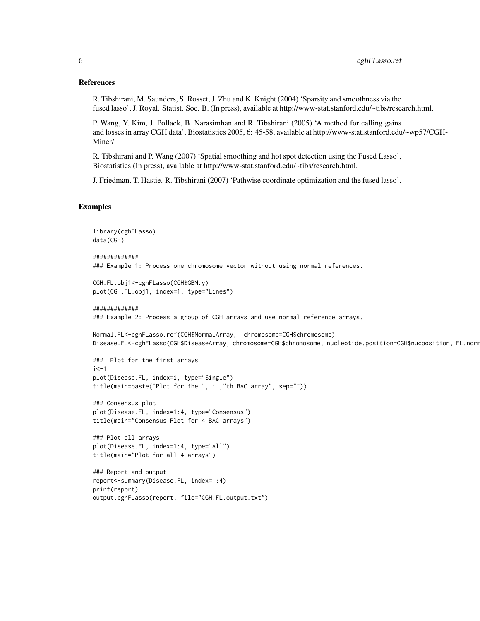## References

R. Tibshirani, M. Saunders, S. Rosset, J. Zhu and K. Knight (2004) 'Sparsity and smoothness via the fused lasso', J. Royal. Statist. Soc. B. (In press), available at http://www-stat.stanford.edu/~tibs/research.html.

P. Wang, Y. Kim, J. Pollack, B. Narasimhan and R. Tibshirani (2005) 'A method for calling gains and losses in array CGH data', Biostatistics 2005, 6: 45-58, available at http://www-stat.stanford.edu/~wp57/CGH-Miner/

R. Tibshirani and P. Wang (2007) 'Spatial smoothing and hot spot detection using the Fused Lasso', Biostatistics (In press), available at http://www-stat.stanford.edu/~tibs/research.html.

J. Friedman, T. Hastie. R. Tibshirani (2007) 'Pathwise coordinate optimization and the fused lasso'.

## Examples

```
library(cghFLasso)
data(CGH)
#############
### Example 1: Process one chromosome vector without using normal references.
CGH.FL.obj1<-cghFLasso(CGH$GBM.y)
plot(CGH.FL.obj1, index=1, type="Lines")
#############
### Example 2: Process a group of CGH arrays and use normal reference arrays.
Normal.FL<-cghFLasso.ref(CGH$NormalArray, chromosome=CGH$chromosome)
Disease.FL<-cghFLasso(CGH$DiseaseArray, chromosome=CGH$chromosome, nucleotide.position=CGH$nucposition, FL.norm
### Plot for the first arrays
i <-1
plot(Disease.FL, index=i, type="Single")
title(main=paste("Plot for the ", i ,"th BAC array", sep=""))
### Consensus plot
plot(Disease.FL, index=1:4, type="Consensus")
title(main="Consensus Plot for 4 BAC arrays")
### Plot all arrays
plot(Disease.FL, index=1:4, type="All")
title(main="Plot for all 4 arrays")
### Report and output
report<-summary(Disease.FL, index=1:4)
print(report)
output.cghFLasso(report, file="CGH.FL.output.txt")
```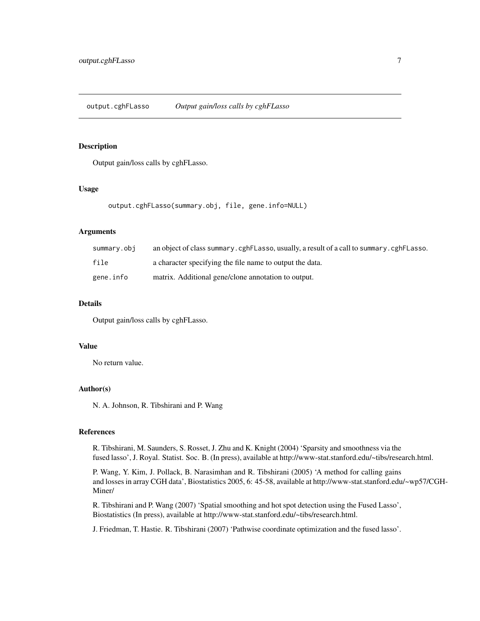## <span id="page-6-0"></span>Description

Output gain/loss calls by cghFLasso.

## Usage

```
output.cghFLasso(summary.obj, file, gene.info=NULL)
```
## Arguments

| summarv.obi | an object of class summary. cghFLasso, usually, a result of a call to summary. cghFLasso. |
|-------------|-------------------------------------------------------------------------------------------|
| file        | a character specifying the file name to output the data.                                  |
| gene.info   | matrix. Additional gene/clone annotation to output.                                       |

## Details

Output gain/loss calls by cghFLasso.

## Value

No return value.

#### Author(s)

N. A. Johnson, R. Tibshirani and P. Wang

## References

R. Tibshirani, M. Saunders, S. Rosset, J. Zhu and K. Knight (2004) 'Sparsity and smoothness via the fused lasso', J. Royal. Statist. Soc. B. (In press), available at http://www-stat.stanford.edu/~tibs/research.html.

P. Wang, Y. Kim, J. Pollack, B. Narasimhan and R. Tibshirani (2005) 'A method for calling gains and losses in array CGH data', Biostatistics 2005, 6: 45-58, available at http://www-stat.stanford.edu/~wp57/CGH-Miner/

R. Tibshirani and P. Wang (2007) 'Spatial smoothing and hot spot detection using the Fused Lasso', Biostatistics (In press), available at http://www-stat.stanford.edu/~tibs/research.html.

J. Friedman, T. Hastie. R. Tibshirani (2007) 'Pathwise coordinate optimization and the fused lasso'.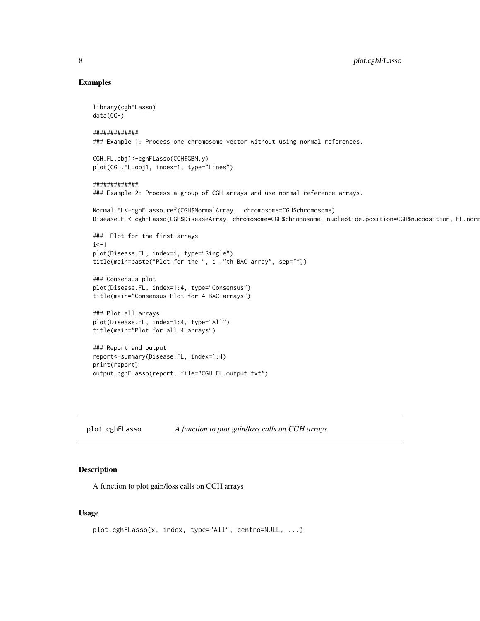## Examples

library(cghFLasso) data(CGH)

############# ### Example 1: Process one chromosome vector without using normal references.

CGH.FL.obj1<-cghFLasso(CGH\$GBM.y) plot(CGH.FL.obj1, index=1, type="Lines")

#### #############

### Example 2: Process a group of CGH arrays and use normal reference arrays.

```
Normal.FL<-cghFLasso.ref(CGH$NormalArray, chromosome=CGH$chromosome)
Disease.FL<-cghFLasso(CGH$DiseaseArray, chromosome=CGH$chromosome, nucleotide.position=CGH$nucposition, FL.norm
```

```
### Plot for the first arrays
i <-1
plot(Disease.FL, index=i, type="Single")
title(main=paste("Plot for the ", i ,"th BAC array", sep=""))
```

```
### Consensus plot
plot(Disease.FL, index=1:4, type="Consensus")
title(main="Consensus Plot for 4 BAC arrays")
```

```
### Plot all arrays
plot(Disease.FL, index=1:4, type="All")
title(main="Plot for all 4 arrays")
```

```
### Report and output
report<-summary(Disease.FL, index=1:4)
print(report)
output.cghFLasso(report, file="CGH.FL.output.txt")
```
plot.cghFLasso *A function to plot gain/loss calls on CGH arrays*

## Description

A function to plot gain/loss calls on CGH arrays

## Usage

```
plot.cghFLasso(x, index, type="All", centro=NULL, ...)
```
<span id="page-7-0"></span>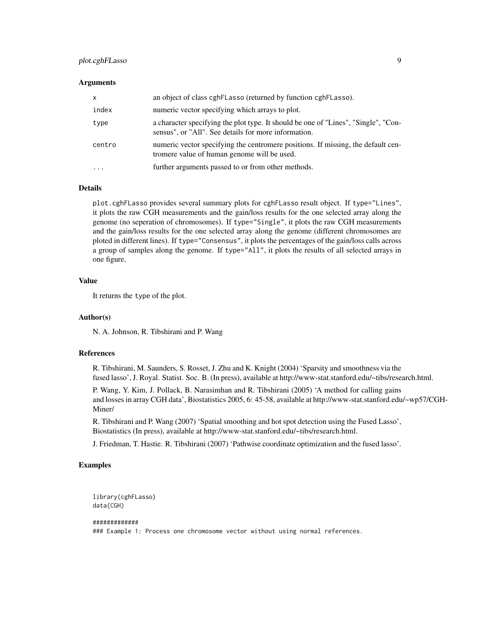## plot.cghFLasso 9

#### Arguments

| $\mathsf{x}$ | an object of class cghFLasso (returned by function cghFLasso).                                                                             |
|--------------|--------------------------------------------------------------------------------------------------------------------------------------------|
| index        | numeric vector specifying which arrays to plot.                                                                                            |
| type         | a character specifying the plot type. It should be one of "Lines", "Single", "Con-<br>sensus", or "All". See details for more information. |
| centro       | numeric vector specifying the centromere positions. If missing, the default cen-<br>tromere value of human genome will be used.            |
| $\cdots$     | further arguments passed to or from other methods.                                                                                         |

#### Details

plot.cghFLasso provides several summary plots for cghFLasso result object. If type="Lines", it plots the raw CGH measurements and the gain/loss results for the one selected array along the genome (no seperation of chromosomes). If type="Single", it plots the raw CGH measurements and the gain/loss results for the one selected array along the genome (different chromosomes are ploted in different lines). If type="Consensus", it plots the percentages of the gain/loss calls across a group of samples along the genome. If type="All", it plots the results of all selected arrays in one figure.

## Value

It returns the type of the plot.

#### Author(s)

N. A. Johnson, R. Tibshirani and P. Wang

## References

R. Tibshirani, M. Saunders, S. Rosset, J. Zhu and K. Knight (2004) 'Sparsity and smoothness via the fused lasso', J. Royal. Statist. Soc. B. (In press), available at http://www-stat.stanford.edu/~tibs/research.html.

P. Wang, Y. Kim, J. Pollack, B. Narasimhan and R. Tibshirani (2005) 'A method for calling gains and losses in array CGH data', Biostatistics 2005, 6: 45-58, available at http://www-stat.stanford.edu/~wp57/CGH-Miner/

R. Tibshirani and P. Wang (2007) 'Spatial smoothing and hot spot detection using the Fused Lasso', Biostatistics (In press), available at http://www-stat.stanford.edu/~tibs/research.html.

J. Friedman, T. Hastie. R. Tibshirani (2007) 'Pathwise coordinate optimization and the fused lasso'.

## Examples

```
library(cghFLasso)
data(CGH)
```
############# ### Example 1: Process one chromosome vector without using normal references.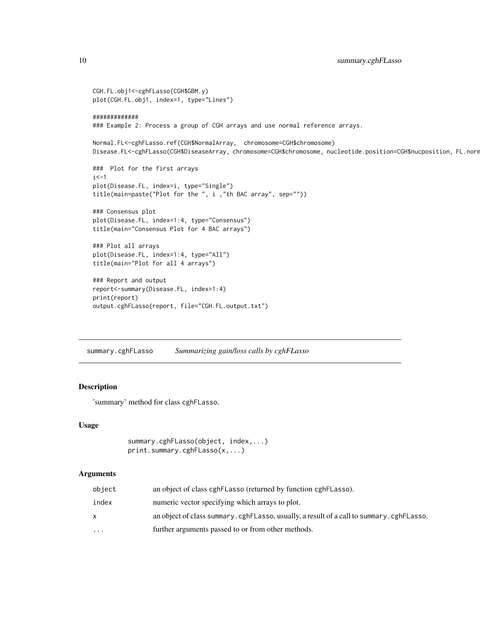```
CGH.FL.obj1<-cghFLasso(CGH$GBM.y)
plot(CGH.FL.obj1, index=1, type="Lines")
#############
### Example 2: Process a group of CGH arrays and use normal reference arrays.
Normal.FL<-cghFLasso.ref(CGH$NormalArray, chromosome=CGH$chromosome)
Disease.FL<-cghFLasso(CGH$DiseaseArray, chromosome=CGH$chromosome, nucleotide.position=CGH$nucposition, FL.norm
### Plot for the first arrays
i <-1
plot(Disease.FL, index=i, type="Single")
title(main=paste("Plot for the ", i ,"th BAC array", sep=""))
### Consensus plot
plot(Disease.FL, index=1:4, type="Consensus")
title(main="Consensus Plot for 4 BAC arrays")
### Plot all arrays
plot(Disease.FL, index=1:4, type="All")
title(main="Plot for all 4 arrays")
### Report and output
report<-summary(Disease.FL, index=1:4)
print(report)
output.cghFLasso(report, file="CGH.FL.output.txt")
```
summary.cghFLasso *Summarizing gain/loss calls by cghFLasso*

## Description

'summary' method for class cghFLasso.

#### Usage

```
summary.cghFLasso(object, index,...)
print.summary.cghFLasso(x,...)
```
#### Arguments

| object   | an object of class cghFLasso (returned by function cghFLasso).                          |
|----------|-----------------------------------------------------------------------------------------|
| index    | numeric vector specifying which arrays to plot.                                         |
| x        | an object of class summary.cghFLasso, usually, a result of a call to summary.cghFLasso. |
| $\cdots$ | further arguments passed to or from other methods.                                      |

<span id="page-9-0"></span>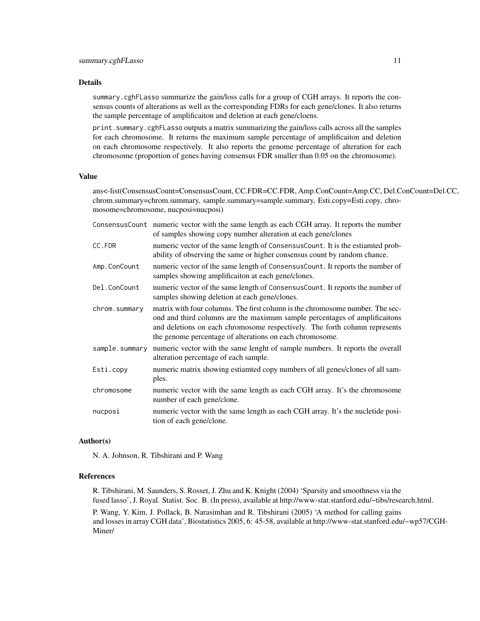#### Details

summary.cghFLasso summarize the gain/loss calls for a group of CGH arrays. It reports the consensus counts of alterations as well as the corresponding FDRs for each gene/clones. It also returns the sample percentage of amplificaiton and deletion at each gene/cloens.

print.summary.cghFLasso outputs a matrix summarizing the gain/loss calls across all the samples for each chromosome. It returns the maximum sample percentage of amplificaiton and deletion on each chromosome respectively. It also reports the genome percentage of alteration for each chromosome (proportion of genes having consensus FDR smaller than 0.05 on the chromosome).

## Value

ans<-list(ConsensusCount=ConsensusCount, CC.FDR=CC.FDR, Amp.ConCount=Amp.CC, Del.ConCount=Del.CC, chrom.summary=chrom.summary, sample.summary=sample.summary, Esti.copy=Esti.copy, chromosome=chromosome, nucposi=nucposi)

|                | ConsensusCount numeric vector with the same length as each CGH array. It reports the number<br>of samples showing copy number alteration at each gene/clones                                                                                                                                          |
|----------------|-------------------------------------------------------------------------------------------------------------------------------------------------------------------------------------------------------------------------------------------------------------------------------------------------------|
| CC.FDR         | numeric vector of the same length of ConsensusCount. It is the estiamted prob-<br>ability of observing the same or higher consensus count by random chance.                                                                                                                                           |
| Amp.ConCount   | numeric vector of the same length of ConsensusCount. It reports the number of<br>samples showing amplificaiton at each gene/clones.                                                                                                                                                                   |
| Del.ConCount   | numeric vector of the same length of ConsensusCount. It reports the number of<br>samples showing deletion at each gene/clones.                                                                                                                                                                        |
| chrom.summary  | matrix with four columns. The first column is the chromosome number. The sec-<br>ond and third columns are the maximum sample percentages of amplificaitons<br>and deletions on each chromosome respectively. The forth column represents<br>the genome percentage of alterations on each chromosome. |
| sample.summary | numeric vector with the same lenght of sample numbers. It reports the overall<br>alteration percentage of each sample.                                                                                                                                                                                |
| Esti.copy      | numeric matrix showing estiamted copy numbers of all genes/clones of all sam-<br>ples.                                                                                                                                                                                                                |
| chromosome     | numeric vector with the same length as each CGH array. It's the chromosome<br>number of each gene/clone.                                                                                                                                                                                              |
| nucposi        | numeric vector with the same length as each CGH array. It's the nucletide posi-<br>tion of each gene/clone.                                                                                                                                                                                           |
|                |                                                                                                                                                                                                                                                                                                       |

## Author(s)

N. A. Johnson, R. Tibshirani and P. Wang

#### References

R. Tibshirani, M. Saunders, S. Rosset, J. Zhu and K. Knight (2004) 'Sparsity and smoothness via the fused lasso', J. Royal. Statist. Soc. B. (In press), available at http://www-stat.stanford.edu/~tibs/research.html.

P. Wang, Y. Kim, J. Pollack, B. Narasimhan and R. Tibshirani (2005) 'A method for calling gains and losses in array CGH data', Biostatistics 2005, 6: 45-58, available at http://www-stat.stanford.edu/~wp57/CGH-Miner/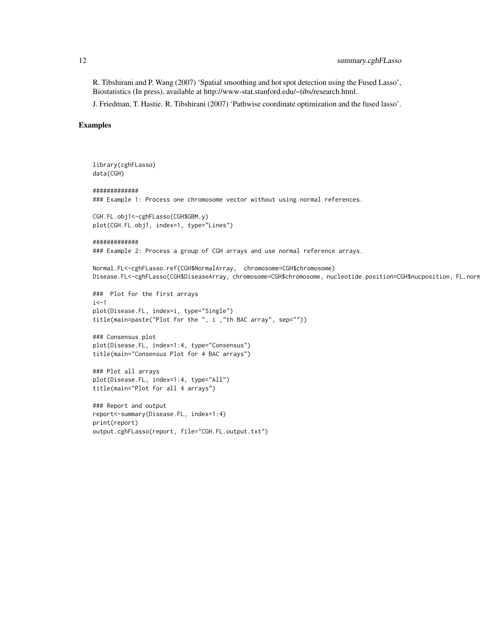R. Tibshirani and P. Wang (2007) 'Spatial smoothing and hot spot detection using the Fused Lasso', Biostatistics (In press), available at http://www-stat.stanford.edu/~tibs/research.html.

J. Friedman, T. Hastie. R. Tibshirani (2007) 'Pathwise coordinate optimization and the fused lasso'.

## Examples

```
library(cghFLasso)
data(CGH)
#############
### Example 1: Process one chromosome vector without using normal references.
CGH.FL.obj1<-cghFLasso(CGH$GBM.y)
plot(CGH.FL.obj1, index=1, type="Lines")
#############
### Example 2: Process a group of CGH arrays and use normal reference arrays.
Normal.FL<-cghFLasso.ref(CGH$NormalArray, chromosome=CGH$chromosome)
Disease.FL<-cghFLasso(CGH$DiseaseArray, chromosome=CGH$chromosome, nucleotide.position=CGH$nucposition, FL.norm
### Plot for the first arrays
i < -1plot(Disease.FL, index=i, type="Single")
title(main=paste("Plot for the ", i ,"th BAC array", sep=""))
### Consensus plot
plot(Disease.FL, index=1:4, type="Consensus")
title(main="Consensus Plot for 4 BAC arrays")
### Plot all arrays
plot(Disease.FL, index=1:4, type="All")
title(main="Plot for all 4 arrays")
### Report and output
report<-summary(Disease.FL, index=1:4)
print(report)
output.cghFLasso(report, file="CGH.FL.output.txt")
```